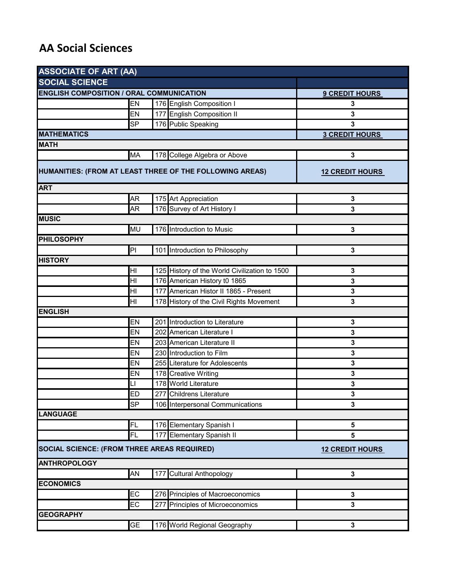## **AA Social Sciences**

| <b>ASSOCIATE OF ART (AA)</b><br><b>SOCIAL SCIENCE</b>    |                        |     |                                               |                         |  |  |
|----------------------------------------------------------|------------------------|-----|-----------------------------------------------|-------------------------|--|--|
|                                                          |                        |     |                                               |                         |  |  |
|                                                          | EN                     |     | 176 English Composition I                     | 3                       |  |  |
|                                                          | EN                     |     | 177 English Composition II                    | 3                       |  |  |
|                                                          | <b>SP</b>              |     | 176 Public Speaking                           | 3                       |  |  |
| <b>MATHEMATICS</b>                                       | <b>3 CREDIT HOURS</b>  |     |                                               |                         |  |  |
| <b>MATH</b>                                              |                        |     |                                               |                         |  |  |
|                                                          | <b>MA</b>              |     | 178 College Algebra or Above                  | 3                       |  |  |
| HUMANITIES: (FROM AT LEAST THREE OF THE FOLLOWING AREAS) | <b>12 CREDIT HOURS</b> |     |                                               |                         |  |  |
| <b>ART</b>                                               |                        |     |                                               |                         |  |  |
|                                                          | <b>AR</b>              |     | 175 Art Appreciation                          | 3                       |  |  |
|                                                          | AR                     |     | 176 Survey of Art History I                   | 3                       |  |  |
| <b>MUSIC</b>                                             |                        |     |                                               |                         |  |  |
|                                                          | <b>MU</b>              |     | 176 Introduction to Music                     | 3                       |  |  |
| <b>PHILOSOPHY</b>                                        |                        |     |                                               |                         |  |  |
|                                                          | PI                     |     | 101 Introduction to Philosophy                | 3                       |  |  |
| <b>HISTORY</b>                                           |                        |     |                                               |                         |  |  |
|                                                          | H <sub>l</sub>         |     | 125 History of the World Civilization to 1500 | 3                       |  |  |
|                                                          | HI                     |     | 176 American History t0 1865                  | 3                       |  |  |
|                                                          | H <sub>l</sub>         |     | 177 American Histor II 1865 - Present         | 3                       |  |  |
|                                                          | H <sub>l</sub>         |     | 178 History of the Civil Rights Movement      | 3                       |  |  |
| <b>ENGLISH</b>                                           |                        |     |                                               |                         |  |  |
|                                                          | <b>EN</b>              |     | 201 Introduction to Literature                | 3                       |  |  |
|                                                          | EN                     |     | 202 American Literature I                     | 3                       |  |  |
|                                                          | EN                     |     | 203 American Literature II                    | 3                       |  |  |
|                                                          | <b>EN</b>              |     | 230 Introduction to Film                      | 3                       |  |  |
|                                                          | EN                     |     | 255 Literature for Adolescents                | 3                       |  |  |
|                                                          | EN                     |     | 178 Creative Writing                          | 3                       |  |  |
|                                                          | LI                     |     | 178 World Literature                          | 3                       |  |  |
|                                                          | E                      |     | 277 Childrens Literature                      | 3                       |  |  |
|                                                          | <b>SP</b>              |     | 106 Interpersonal Communications              | 3                       |  |  |
| <b>LANGUAGE</b>                                          |                        |     |                                               |                         |  |  |
|                                                          | FL                     |     | 176 Elementary Spanish I                      | 5                       |  |  |
|                                                          | FL                     |     | 177 Elementary Spanish II                     | 5                       |  |  |
| SOCIAL SCIENCE: (FROM THREE AREAS REQUIRED)              | <b>12 CREDIT HOURS</b> |     |                                               |                         |  |  |
| <b>ANTHROPOLOGY</b>                                      |                        |     |                                               |                         |  |  |
|                                                          | AN                     |     | 177 Cultural Anthopology                      | 3                       |  |  |
| <b>ECONOMICS</b>                                         |                        |     |                                               |                         |  |  |
|                                                          | EC                     | 276 | Principles of Macroeconomics                  | $\overline{\mathbf{3}}$ |  |  |
|                                                          | EC                     | 277 | Principles of Microeconomics                  | $\mathbf 3$             |  |  |
| <b>GEOGRAPHY</b>                                         |                        |     |                                               |                         |  |  |
|                                                          | <b>GE</b>              |     | 176 World Regional Geography                  | $\mathbf{3}$            |  |  |